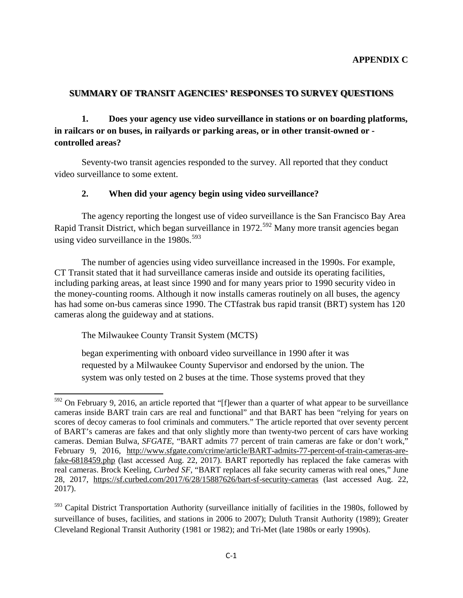### **SUMMARY OF TRANSIT AGENCIES' RESPONSES TO SURVEY QUESTIONS**

**1. Does your agency use video surveillance in stations or on boarding platforms, in railcars or on buses, in railyards or parking areas, or in other transit-owned or controlled areas?**

Seventy-two transit agencies responded to the survey. All reported that they conduct video surveillance to some extent.

### **2. When did your agency begin using video surveillance?**

The agency reporting the longest use of video surveillance is the San Francisco Bay Area Rapid Transit District, which began surveillance in 1972.<sup>[592](#page-0-0)</sup> Many more transit agencies began using video surveillance in the  $1980s$ .<sup>[593](#page-0-1)</sup>

The number of agencies using video surveillance increased in the 1990s. For example, CT Transit stated that it had surveillance cameras inside and outside its operating facilities, including parking areas, at least since 1990 and for many years prior to 1990 security video in the money-counting rooms. Although it now installs cameras routinely on all buses, the agency has had some on-bus cameras since 1990. The CTfastrak bus rapid transit (BRT) system has 120 cameras along the guideway and at stations.

The Milwaukee County Transit System (MCTS)

began experimenting with onboard video surveillance in 1990 after it was requested by a Milwaukee County Supervisor and endorsed by the union. The system was only tested on 2 buses at the time. Those systems proved that they

<span id="page-0-0"></span> $\overline{\phantom{a}}$  $592$  On February 9, 2016, an article reported that "[f]ewer than a quarter of what appear to be surveillance cameras inside BART train cars are real and functional" and that BART has been "relying for years on scores of decoy cameras to fool criminals and commuters." The article reported that over seventy percent of BART's cameras are fakes and that only slightly more than twenty-two percent of cars have working cameras. Demian Bulwa, *SFGATE*, "BART admits 77 percent of train cameras are fake or don't work," February 9, 2016, [http://www.sfgate.com/crime/article/BART-admits-77-percent-of-train-cameras-are](http://www.sfgate.com/crime/article/BART-admits-77-percent-of-train-cameras-are-fake-6818459.php)[fake-6818459.php](http://www.sfgate.com/crime/article/BART-admits-77-percent-of-train-cameras-are-fake-6818459.php) (last accessed Aug. 22, 2017). BART reportedly has replaced the fake cameras with real cameras. Brock Keeling*, Curbed SF*, "BART replaces all fake security cameras with real ones," June 28, 2017, <https://sf.curbed.com/2017/6/28/15887626/bart-sf-security-cameras> (last accessed Aug. 22, 2017).

<span id="page-0-1"></span><sup>&</sup>lt;sup>593</sup> Capital District Transportation Authority (surveillance initially of facilities in the 1980s, followed by surveillance of buses, facilities, and stations in 2006 to 2007); Duluth Transit Authority (1989); Greater Cleveland Regional Transit Authority (1981 or 1982); and Tri-Met (late 1980s or early 1990s).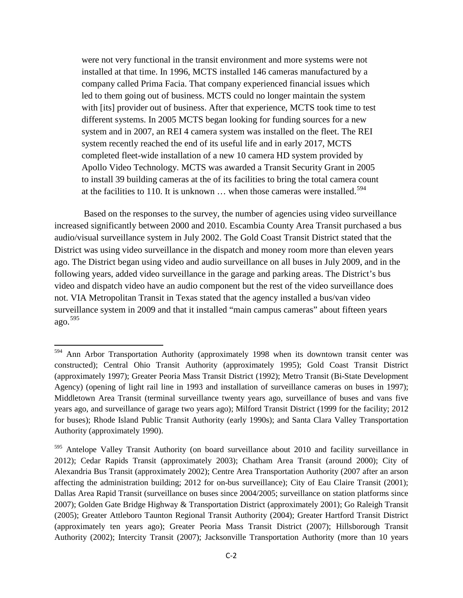were not very functional in the transit environment and more systems were not installed at that time. In 1996, MCTS installed 146 cameras manufactured by a company called Prima Facia. That company experienced financial issues which led to them going out of business. MCTS could no longer maintain the system with [its] provider out of business. After that experience, MCTS took time to test different systems. In 2005 MCTS began looking for funding sources for a new system and in 2007, an REI 4 camera system was installed on the fleet. The REI system recently reached the end of its useful life and in early 2017, MCTS completed fleet-wide installation of a new 10 camera HD system provided by Apollo Video Technology. MCTS was awarded a Transit Security Grant in 2005 to install 39 building cameras at the of its facilities to bring the total camera count at the facilities to 110. It is unknown  $\ldots$  when those cameras were installed.<sup>[594](#page-1-0)</sup>

 Based on the responses to the survey, the number of agencies using video surveillance increased significantly between 2000 and 2010. Escambia County Area Transit purchased a bus audio/visual surveillance system in July 2002. The Gold Coast Transit District stated that the District was using video surveillance in the dispatch and money room more than eleven years ago. The District began using video and audio surveillance on all buses in July 2009, and in the following years, added video surveillance in the garage and parking areas. The District's bus video and dispatch video have an audio component but the rest of the video surveillance does not. VIA Metropolitan Transit in Texas stated that the agency installed a bus/van video surveillance system in 2009 and that it installed "main campus cameras" about fifteen years ago.[595](#page-1-1)

 $\overline{\phantom{a}}$ 

<span id="page-1-0"></span><sup>&</sup>lt;sup>594</sup> Ann Arbor Transportation Authority (approximately 1998 when its downtown transit center was constructed); Central Ohio Transit Authority (approximately 1995); Gold Coast Transit District (approximately 1997); Greater Peoria Mass Transit District (1992); Metro Transit (Bi-State Development Agency) (opening of light rail line in 1993 and installation of surveillance cameras on buses in 1997); Middletown Area Transit (terminal surveillance twenty years ago, surveillance of buses and vans five years ago, and surveillance of garage two years ago); Milford Transit District (1999 for the facility; 2012 for buses); Rhode Island Public Transit Authority (early 1990s); and Santa Clara Valley Transportation Authority (approximately 1990).

<span id="page-1-1"></span><sup>&</sup>lt;sup>595</sup> Antelope Valley Transit Authority (on board surveillance about 2010 and facility surveillance in 2012); Cedar Rapids Transit (approximately 2003); Chatham Area Transit (around 2000); City of Alexandria Bus Transit (approximately 2002); Centre Area Transportation Authority (2007 after an arson affecting the administration building; 2012 for on-bus surveillance); City of Eau Claire Transit (2001); Dallas Area Rapid Transit (surveillance on buses since 2004/2005; surveillance on station platforms since 2007); Golden Gate Bridge Highway & Transportation District (approximately 2001); Go Raleigh Transit (2005); Greater Attleboro Taunton Regional Transit Authority (2004); Greater Hartford Transit District (approximately ten years ago); Greater Peoria Mass Transit District (2007); Hillsborough Transit Authority (2002); Intercity Transit (2007); Jacksonville Transportation Authority (more than 10 years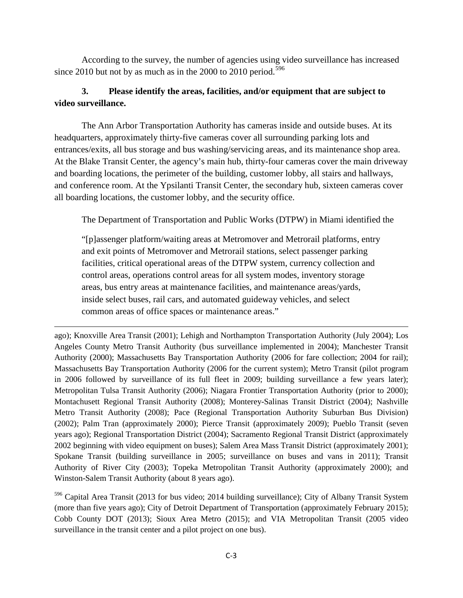According to the survey, the number of agencies using video surveillance has increased since 2010 but not by as much as in the 2000 to 2010 period.<sup>[596](#page-2-0)</sup>

# **3. Please identify the areas, facilities, and/or equipment that are subject to video surveillance.**

 The Ann Arbor Transportation Authority has cameras inside and outside buses. At its headquarters, approximately thirty-five cameras cover all surrounding parking lots and entrances/exits, all bus storage and bus washing/servicing areas, and its maintenance shop area. At the Blake Transit Center, the agency's main hub, thirty-four cameras cover the main driveway and boarding locations, the perimeter of the building, customer lobby, all stairs and hallways, and conference room. At the Ypsilanti Transit Center, the secondary hub, sixteen cameras cover all boarding locations, the customer lobby, and the security office.

The Department of Transportation and Public Works (DTPW) in Miami identified the

"[p]assenger platform/waiting areas at Metromover and Metrorail platforms, entry and exit points of Metromover and Metrorail stations, select passenger parking facilities, critical operational areas of the DTPW system, currency collection and control areas, operations control areas for all system modes, inventory storage areas, bus entry areas at maintenance facilities, and maintenance areas/yards, inside select buses, rail cars, and automated guideway vehicles, and select common areas of office spaces or maintenance areas."

l ago); Knoxville Area Transit (2001); Lehigh and Northampton Transportation Authority (July 2004); Los Angeles County Metro Transit Authority (bus surveillance implemented in 2004); Manchester Transit Authority (2000); Massachusetts Bay Transportation Authority (2006 for fare collection; 2004 for rail); Massachusetts Bay Transportation Authority (2006 for the current system); Metro Transit (pilot program in 2006 followed by surveillance of its full fleet in 2009; building surveillance a few years later); Metropolitan Tulsa Transit Authority (2006); Niagara Frontier Transportation Authority (prior to 2000); Montachusett Regional Transit Authority (2008); Monterey-Salinas Transit District (2004); Nashville Metro Transit Authority (2008); Pace (Regional Transportation Authority Suburban Bus Division) (2002); Palm Tran (approximately 2000); Pierce Transit (approximately 2009); Pueblo Transit (seven years ago); Regional Transportation District (2004); Sacramento Regional Transit District (approximately 2002 beginning with video equipment on buses); Salem Area Mass Transit District (approximately 2001); Spokane Transit (building surveillance in 2005; surveillance on buses and vans in 2011); Transit Authority of River City (2003); Topeka Metropolitan Transit Authority (approximately 2000); and Winston-Salem Transit Authority (about 8 years ago).

<span id="page-2-0"></span><sup>596</sup> Capital Area Transit (2013 for bus video; 2014 building surveillance); City of Albany Transit System (more than five years ago); City of Detroit Department of Transportation (approximately February 2015); Cobb County DOT (2013); Sioux Area Metro (2015); and VIA Metropolitan Transit (2005 video surveillance in the transit center and a pilot project on one bus).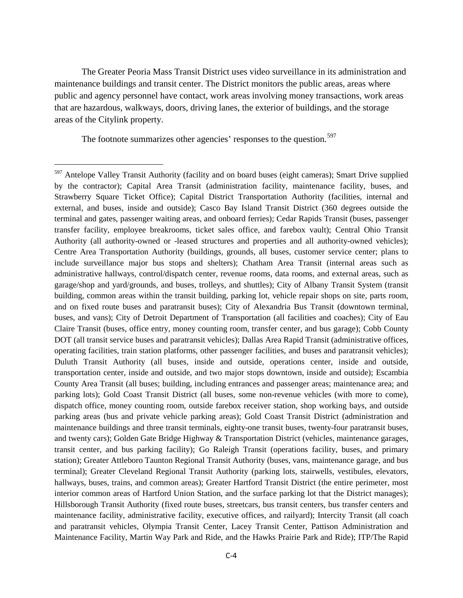The Greater Peoria Mass Transit District uses video surveillance in its administration and maintenance buildings and transit center. The District monitors the public areas, areas where public and agency personnel have contact, work areas involving money transactions, work areas that are hazardous, walkways, doors, driving lanes, the exterior of buildings, and the storage areas of the Citylink property.

The footnote summarizes other agencies' responses to the question.<sup>[597](#page-3-0)</sup>

 $\overline{\phantom{a}}$ 

<span id="page-3-0"></span><sup>&</sup>lt;sup>597</sup> Antelope Valley Transit Authority (facility and on board buses (eight cameras); Smart Drive supplied by the contractor); Capital Area Transit (administration facility, maintenance facility, buses, and Strawberry Square Ticket Office); Capital District Transportation Authority (facilities, internal and external, and buses, inside and outside); Casco Bay Island Transit District (360 degrees outside the terminal and gates, passenger waiting areas, and onboard ferries); Cedar Rapids Transit (buses, passenger transfer facility, employee breakrooms, ticket sales office, and farebox vault); Central Ohio Transit Authority (all authority-owned or -leased structures and properties and all authority-owned vehicles); Centre Area Transportation Authority (buildings, grounds, all buses, customer service center; plans to include surveillance major bus stops and shelters); Chatham Area Transit (internal areas such as administrative hallways, control/dispatch center, revenue rooms, data rooms, and external areas, such as garage/shop and yard/grounds, and buses, trolleys, and shuttles); City of Albany Transit System (transit building, common areas within the transit building, parking lot, vehicle repair shops on site, parts room, and on fixed route buses and paratransit buses); City of Alexandria Bus Transit (downtown terminal, buses, and vans); City of Detroit Department of Transportation (all facilities and coaches); City of Eau Claire Transit (buses, office entry, money counting room, transfer center, and bus garage); Cobb County DOT (all transit service buses and paratransit vehicles); Dallas Area Rapid Transit (administrative offices, operating facilities, train station platforms, other passenger facilities, and buses and paratransit vehicles); Duluth Transit Authority (all buses, inside and outside, operations center, inside and outside, transportation center, inside and outside, and two major stops downtown, inside and outside); Escambia County Area Transit (all buses; building, including entrances and passenger areas; maintenance area; and parking lots); Gold Coast Transit District (all buses, some non-revenue vehicles (with more to come), dispatch office, money counting room, outside farebox receiver station, shop working bays, and outside parking areas (bus and private vehicle parking areas); Gold Coast Transit District (administration and maintenance buildings and three transit terminals, eighty-one transit buses, twenty-four paratransit buses, and twenty cars); Golden Gate Bridge Highway & Transportation District (vehicles, maintenance garages, transit center, and bus parking facility); Go Raleigh Transit (operations facility, buses, and primary station); Greater Attleboro Taunton Regional Transit Authority (buses, vans, maintenance garage, and bus terminal); Greater Cleveland Regional Transit Authority (parking lots, stairwells, vestibules, elevators, hallways, buses, trains, and common areas); Greater Hartford Transit District (the entire perimeter, most interior common areas of Hartford Union Station, and the surface parking lot that the District manages); Hillsborough Transit Authority (fixed route buses, streetcars, bus transit centers, bus transfer centers and maintenance facility, administrative facility, executive offices, and railyard); Intercity Transit (all coach and paratransit vehicles, Olympia Transit Center, Lacey Transit Center, Pattison Administration and Maintenance Facility, Martin Way Park and Ride, and the Hawks Prairie Park and Ride); ITP/The Rapid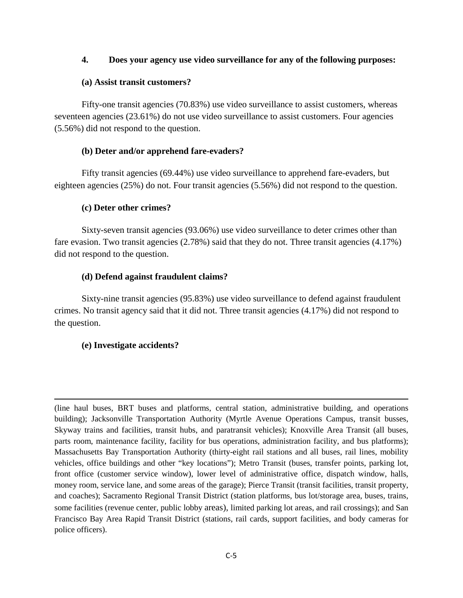### **4. Does your agency use video surveillance for any of the following purposes:**

#### **(a) Assist transit customers?**

Fifty-one transit agencies (70.83%) use video surveillance to assist customers, whereas seventeen agencies (23.61%) do not use video surveillance to assist customers. Four agencies (5.56%) did not respond to the question.

### **(b) Deter and/or apprehend fare-evaders?**

 Fifty transit agencies (69.44%) use video surveillance to apprehend fare-evaders, but eighteen agencies (25%) do not. Four transit agencies (5.56%) did not respond to the question.

### **(c) Deter other crimes?**

Sixty-seven transit agencies (93.06%) use video surveillance to deter crimes other than fare evasion. Two transit agencies (2.78%) said that they do not. Three transit agencies (4.17%) did not respond to the question.

### **(d) Defend against fraudulent claims?**

Sixty-nine transit agencies (95.83%) use video surveillance to defend against fraudulent crimes. No transit agency said that it did not. Three transit agencies (4.17%) did not respond to the question.

### **(e) Investigate accidents?**

l

(line haul buses, BRT buses and platforms, central station, administrative building, and operations building); Jacksonville Transportation Authority (Myrtle Avenue Operations Campus, transit busses, Skyway trains and facilities, transit hubs, and paratransit vehicles); Knoxville Area Transit (all buses, parts room, maintenance facility, facility for bus operations, administration facility, and bus platforms); Massachusetts Bay Transportation Authority (thirty-eight rail stations and all buses, rail lines, mobility vehicles, office buildings and other "key locations"); Metro Transit (buses, transfer points, parking lot, front office (customer service window), lower level of administrative office, dispatch window, halls, money room, service lane, and some areas of the garage); Pierce Transit (transit facilities, transit property, and coaches); Sacramento Regional Transit District (station platforms, bus lot/storage area, buses, trains, some facilities (revenue center, public lobby areas), limited parking lot areas, and rail crossings); and San Francisco Bay Area Rapid Transit District (stations, rail cards, support facilities, and body cameras for police officers).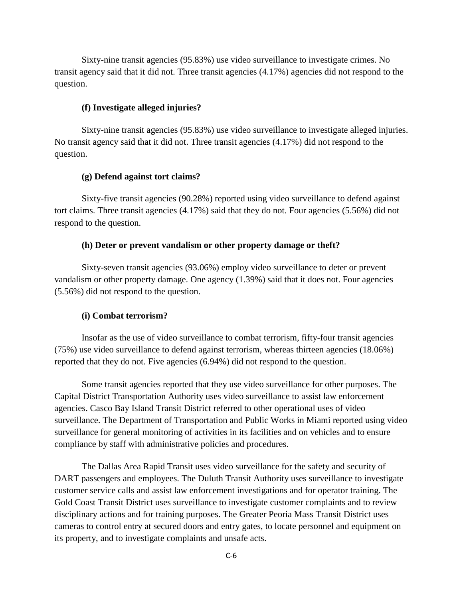Sixty-nine transit agencies (95.83%) use video surveillance to investigate crimes. No transit agency said that it did not. Three transit agencies (4.17%) agencies did not respond to the question.

#### **(f) Investigate alleged injuries?**

Sixty-nine transit agencies (95.83%) use video surveillance to investigate alleged injuries. No transit agency said that it did not. Three transit agencies (4.17%) did not respond to the question.

#### **(g) Defend against tort claims?**

Sixty-five transit agencies (90.28%) reported using video surveillance to defend against tort claims. Three transit agencies (4.17%) said that they do not. Four agencies (5.56%) did not respond to the question.

#### **(h) Deter or prevent vandalism or other property damage or theft?**

Sixty-seven transit agencies (93.06%) employ video surveillance to deter or prevent vandalism or other property damage. One agency (1.39%) said that it does not. Four agencies (5.56%) did not respond to the question.

#### **(i) Combat terrorism?**

 Insofar as the use of video surveillance to combat terrorism, fifty-four transit agencies (75%) use video surveillance to defend against terrorism, whereas thirteen agencies (18.06%) reported that they do not. Five agencies (6.94%) did not respond to the question.

 Some transit agencies reported that they use video surveillance for other purposes. The Capital District Transportation Authority uses video surveillance to assist law enforcement agencies. Casco Bay Island Transit District referred to other operational uses of video surveillance. The Department of Transportation and Public Works in Miami reported using video surveillance for general monitoring of activities in its facilities and on vehicles and to ensure compliance by staff with administrative policies and procedures.

The Dallas Area Rapid Transit uses video surveillance for the safety and security of DART passengers and employees. The Duluth Transit Authority uses surveillance to investigate customer service calls and assist law enforcement investigations and for operator training. The Gold Coast Transit District uses surveillance to investigate customer complaints and to review disciplinary actions and for training purposes. The Greater Peoria Mass Transit District uses cameras to control entry at secured doors and entry gates, to locate personnel and equipment on its property, and to investigate complaints and unsafe acts.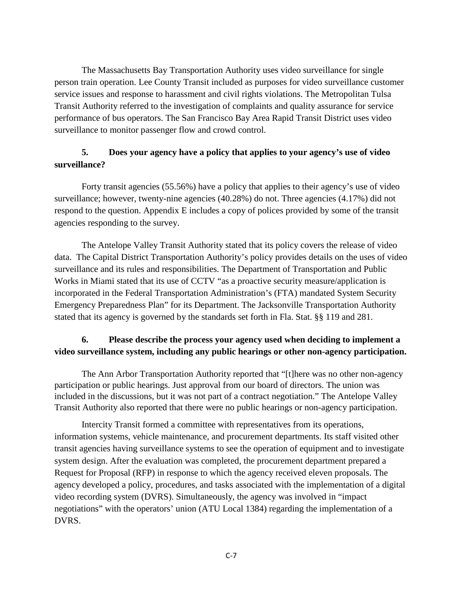The Massachusetts Bay Transportation Authority uses video surveillance for single person train operation. Lee County Transit included as purposes for video surveillance customer service issues and response to harassment and civil rights violations. The Metropolitan Tulsa Transit Authority referred to the investigation of complaints and quality assurance for service performance of bus operators. The San Francisco Bay Area Rapid Transit District uses video surveillance to monitor passenger flow and crowd control.

# **5. Does your agency have a policy that applies to your agency's use of video surveillance?**

 Forty transit agencies (55.56%) have a policy that applies to their agency's use of video surveillance; however, twenty-nine agencies (40.28%) do not. Three agencies (4.17%) did not respond to the question. Appendix E includes a copy of polices provided by some of the transit agencies responding to the survey.

The Antelope Valley Transit Authority stated that its policy covers the release of video data. The Capital District Transportation Authority's policy provides details on the uses of video surveillance and its rules and responsibilities. The Department of Transportation and Public Works in Miami stated that its use of CCTV "as a proactive security measure/application is incorporated in the Federal Transportation Administration's (FTA) mandated System Security Emergency Preparedness Plan" for its Department. The Jacksonville Transportation Authority stated that its agency is governed by the standards set forth in Fla. Stat. §§ 119 and 281.

# **6. Please describe the process your agency used when deciding to implement a video surveillance system, including any public hearings or other non-agency participation.**

The Ann Arbor Transportation Authority reported that "[t]here was no other non-agency participation or public hearings. Just approval from our board of directors. The union was included in the discussions, but it was not part of a contract negotiation." The Antelope Valley Transit Authority also reported that there were no public hearings or non-agency participation.

Intercity Transit formed a committee with representatives from its operations, information systems, vehicle maintenance, and procurement departments. Its staff visited other transit agencies having surveillance systems to see the operation of equipment and to investigate system design. After the evaluation was completed, the procurement department prepared a Request for Proposal (RFP) in response to which the agency received eleven proposals. The agency developed a policy, procedures, and tasks associated with the implementation of a digital video recording system (DVRS). Simultaneously, the agency was involved in "impact negotiations" with the operators' union (ATU Local 1384) regarding the implementation of a DVRS.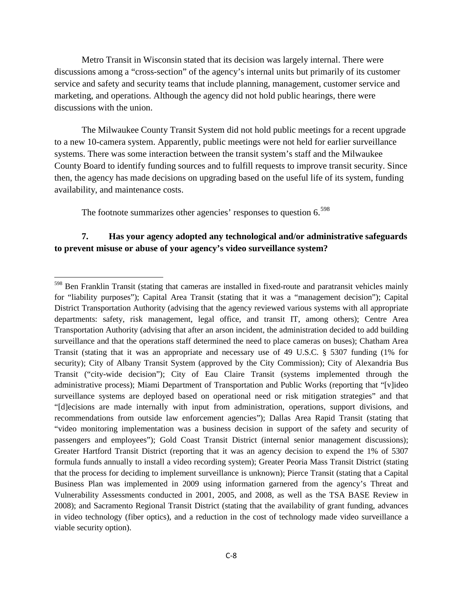Metro Transit in Wisconsin stated that its decision was largely internal. There were discussions among a "cross-section" of the agency's internal units but primarily of its customer service and safety and security teams that include planning, management, customer service and marketing, and operations. Although the agency did not hold public hearings, there were discussions with the union.

 The Milwaukee County Transit System did not hold public meetings for a recent upgrade to a new 10-camera system. Apparently, public meetings were not held for earlier surveillance systems. There was some interaction between the transit system's staff and the Milwaukee County Board to identify funding sources and to fulfill requests to improve transit security. Since then, the agency has made decisions on upgrading based on the useful life of its system, funding availability, and maintenance costs.

The footnote summarizes other agencies' responses to question 6.<sup>[598](#page-7-0)</sup>

l

### **7. Has your agency adopted any technological and/or administrative safeguards to prevent misuse or abuse of your agency's video surveillance system?**

<span id="page-7-0"></span><sup>&</sup>lt;sup>598</sup> Ben Franklin Transit (stating that cameras are installed in fixed-route and paratransit vehicles mainly for "liability purposes"); Capital Area Transit (stating that it was a "management decision"); Capital District Transportation Authority (advising that the agency reviewed various systems with all appropriate departments: safety, risk management, legal office, and transit IT, among others); Centre Area Transportation Authority (advising that after an arson incident, the administration decided to add building surveillance and that the operations staff determined the need to place cameras on buses); Chatham Area Transit (stating that it was an appropriate and necessary use of 49 U.S.C. § 5307 funding (1% for security); City of Albany Transit System (approved by the City Commission); City of Alexandria Bus Transit ("city-wide decision"); City of Eau Claire Transit (systems implemented through the administrative process); Miami Department of Transportation and Public Works (reporting that "[v]ideo surveillance systems are deployed based on operational need or risk mitigation strategies" and that "[d]ecisions are made internally with input from administration, operations, support divisions, and recommendations from outside law enforcement agencies"); Dallas Area Rapid Transit (stating that "video monitoring implementation was a business decision in support of the safety and security of passengers and employees"); Gold Coast Transit District (internal senior management discussions); Greater Hartford Transit District (reporting that it was an agency decision to expend the 1% of 5307 formula funds annually to install a video recording system); Greater Peoria Mass Transit District (stating that the process for deciding to implement surveillance is unknown); Pierce Transit (stating that a Capital Business Plan was implemented in 2009 using information garnered from the agency's Threat and Vulnerability Assessments conducted in 2001, 2005, and 2008, as well as the TSA BASE Review in 2008); and Sacramento Regional Transit District (stating that the availability of grant funding, advances in video technology (fiber optics), and a reduction in the cost of technology made video surveillance a viable security option).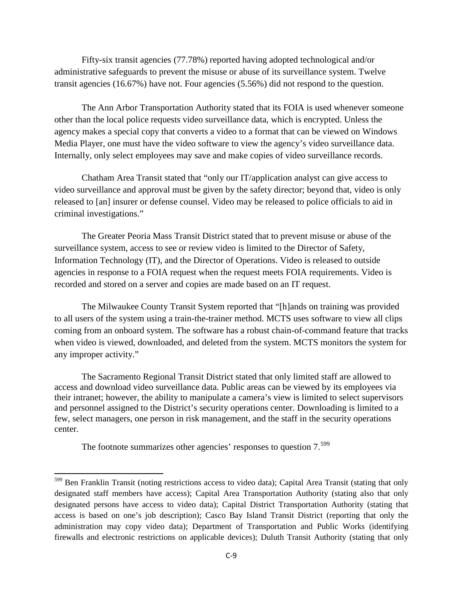Fifty-six transit agencies (77.78%) reported having adopted technological and/or administrative safeguards to prevent the misuse or abuse of its surveillance system. Twelve transit agencies (16.67%) have not. Four agencies (5.56%) did not respond to the question.

 The Ann Arbor Transportation Authority stated that its FOIA is used whenever someone other than the local police requests video surveillance data, which is encrypted. Unless the agency makes a special copy that converts a video to a format that can be viewed on Windows Media Player, one must have the video software to view the agency's video surveillance data. Internally, only select employees may save and make copies of video surveillance records.

Chatham Area Transit stated that "only our IT/application analyst can give access to video surveillance and approval must be given by the safety director; beyond that, video is only released to [an] insurer or defense counsel. Video may be released to police officials to aid in criminal investigations."

The Greater Peoria Mass Transit District stated that to prevent misuse or abuse of the surveillance system, access to see or review video is limited to the Director of Safety, Information Technology (IT), and the Director of Operations. Video is released to outside agencies in response to a FOIA request when the request meets FOIA requirements. Video is recorded and stored on a server and copies are made based on an IT request.

The Milwaukee County Transit System reported that "[h]ands on training was provided to all users of the system using a train-the-trainer method. MCTS uses software to view all clips coming from an onboard system. The software has a robust chain-of-command feature that tracks when video is viewed, downloaded, and deleted from the system. MCTS monitors the system for any improper activity."

The Sacramento Regional Transit District stated that only limited staff are allowed to access and download video surveillance data. Public areas can be viewed by its employees via their intranet; however, the ability to manipulate a camera's view is limited to select supervisors and personnel assigned to the District's security operations center. Downloading is limited to a few, select managers, one person in risk management, and the staff in the security operations center.

The footnote summarizes other agencies' responses to question 7.<sup>[599](#page-8-0)</sup>

l

<span id="page-8-0"></span><sup>&</sup>lt;sup>599</sup> Ben Franklin Transit (noting restrictions access to video data); Capital Area Transit (stating that only designated staff members have access); Capital Area Transportation Authority (stating also that only designated persons have access to video data); Capital District Transportation Authority (stating that access is based on one's job description); Casco Bay Island Transit District (reporting that only the administration may copy video data); Department of Transportation and Public Works (identifying firewalls and electronic restrictions on applicable devices); Duluth Transit Authority (stating that only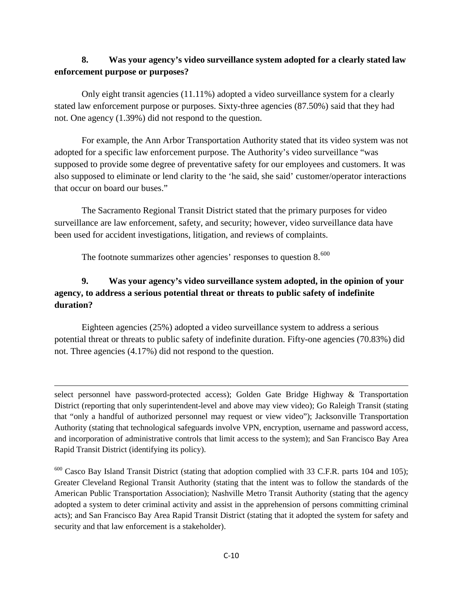# **8. Was your agency's video surveillance system adopted for a clearly stated law enforcement purpose or purposes?**

 Only eight transit agencies (11.11%) adopted a video surveillance system for a clearly stated law enforcement purpose or purposes. Sixty-three agencies (87.50%) said that they had not. One agency (1.39%) did not respond to the question.

 For example, the Ann Arbor Transportation Authority stated that its video system was not adopted for a specific law enforcement purpose. The Authority's video surveillance "was supposed to provide some degree of preventative safety for our employees and customers. It was also supposed to eliminate or lend clarity to the 'he said, she said' customer/operator interactions that occur on board our buses."

The Sacramento Regional Transit District stated that the primary purposes for video surveillance are law enforcement, safety, and security; however, video surveillance data have been used for accident investigations, litigation, and reviews of complaints.

The footnote summarizes other agencies' responses to question  $8.600$  $8.600$ 

 $\overline{\phantom{a}}$ 

# **9. Was your agency's video surveillance system adopted, in the opinion of your agency, to address a serious potential threat or threats to public safety of indefinite duration?**

Eighteen agencies (25%) adopted a video surveillance system to address a serious potential threat or threats to public safety of indefinite duration. Fifty-one agencies (70.83%) did not. Three agencies (4.17%) did not respond to the question.

select personnel have password-protected access); Golden Gate Bridge Highway & Transportation District (reporting that only superintendent-level and above may view video); Go Raleigh Transit (stating that "only a handful of authorized personnel may request or view video"); Jacksonville Transportation Authority (stating that technological safeguards involve VPN, encryption, username and password access, and incorporation of administrative controls that limit access to the system); and San Francisco Bay Area Rapid Transit District (identifying its policy).

<span id="page-9-0"></span><sup>600</sup> Casco Bay Island Transit District (stating that adoption complied with 33 C.F.R. parts 104 and 105); Greater Cleveland Regional Transit Authority (stating that the intent was to follow the standards of the American Public Transportation Association); Nashville Metro Transit Authority (stating that the agency adopted a system to deter criminal activity and assist in the apprehension of persons committing criminal acts); and San Francisco Bay Area Rapid Transit District (stating that it adopted the system for safety and security and that law enforcement is a stakeholder).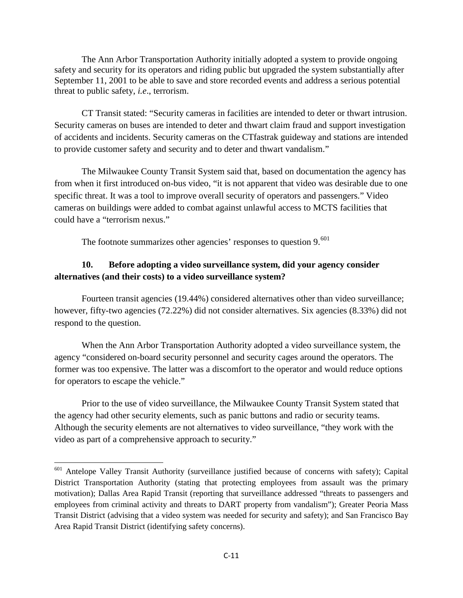The Ann Arbor Transportation Authority initially adopted a system to provide ongoing safety and security for its operators and riding public but upgraded the system substantially after September 11, 2001 to be able to save and store recorded events and address a serious potential threat to public safety, *i.e*., terrorism.

CT Transit stated: "Security cameras in facilities are intended to deter or thwart intrusion. Security cameras on buses are intended to deter and thwart claim fraud and support investigation of accidents and incidents. Security cameras on the CTfastrak guideway and stations are intended to provide customer safety and security and to deter and thwart vandalism."

The Milwaukee County Transit System said that, based on documentation the agency has from when it first introduced on-bus video, "it is not apparent that video was desirable due to one specific threat. It was a tool to improve overall security of operators and passengers." Video cameras on buildings were added to combat against unlawful access to MCTS facilities that could have a "terrorism nexus."

The footnote summarizes other agencies' responses to question 9.<sup>[601](#page-10-0)</sup>

# **10. Before adopting a video surveillance system, did your agency consider alternatives (and their costs) to a video surveillance system?**

 Fourteen transit agencies (19.44%) considered alternatives other than video surveillance; however, fifty-two agencies (72.22%) did not consider alternatives. Six agencies (8.33%) did not respond to the question.

 When the Ann Arbor Transportation Authority adopted a video surveillance system, the agency "considered on-board security personnel and security cages around the operators. The former was too expensive. The latter was a discomfort to the operator and would reduce options for operators to escape the vehicle."

 Prior to the use of video surveillance, the Milwaukee County Transit System stated that the agency had other security elements, such as panic buttons and radio or security teams. Although the security elements are not alternatives to video surveillance, "they work with the video as part of a comprehensive approach to security."

l

<span id="page-10-0"></span><sup>&</sup>lt;sup>601</sup> Antelope Valley Transit Authority (surveillance justified because of concerns with safety); Capital District Transportation Authority (stating that protecting employees from assault was the primary motivation); Dallas Area Rapid Transit (reporting that surveillance addressed "threats to passengers and employees from criminal activity and threats to DART property from vandalism"); Greater Peoria Mass Transit District (advising that a video system was needed for security and safety); and San Francisco Bay Area Rapid Transit District (identifying safety concerns).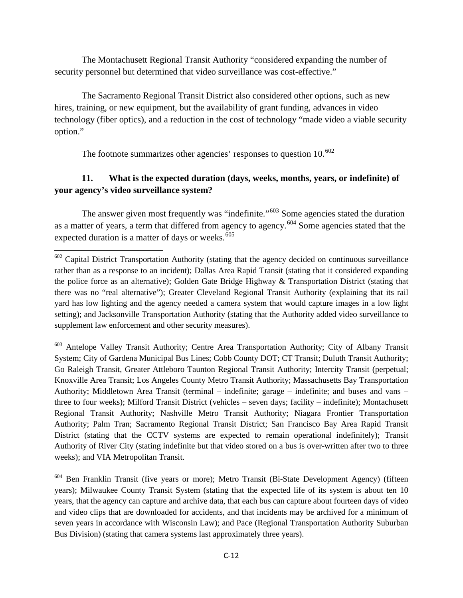The Montachusett Regional Transit Authority "considered expanding the number of security personnel but determined that video surveillance was cost-effective."

 The Sacramento Regional Transit District also considered other options, such as new hires, training, or new equipment, but the availability of grant funding, advances in video technology (fiber optics), and a reduction in the cost of technology "made video a viable security option."

The footnote summarizes other agencies' responses to question  $10^{602}$  $10^{602}$  $10^{602}$ 

l

# **11. What is the expected duration (days, weeks, months, years, or indefinite) of your agency's video surveillance system?**

The answer given most frequently was "indefinite."<sup>[603](#page-11-1)</sup> Some agencies stated the duration as a matter of years, a term that differed from agency to agency.[604](#page-11-2) Some agencies stated that the expected duration is a matter of days or weeks. $605$ 

<span id="page-11-1"></span><sup>603</sup> Antelope Valley Transit Authority; Centre Area Transportation Authority; City of Albany Transit System; City of Gardena Municipal Bus Lines; Cobb County DOT; CT Transit; Duluth Transit Authority; Go Raleigh Transit, Greater Attleboro Taunton Regional Transit Authority; Intercity Transit (perpetual; Knoxville Area Transit; Los Angeles County Metro Transit Authority; Massachusetts Bay Transportation Authority; Middletown Area Transit (terminal – indefinite; garage – indefinite; and buses and vans – three to four weeks); Milford Transit District (vehicles – seven days; facility – indefinite); Montachusett Regional Transit Authority; Nashville Metro Transit Authority; Niagara Frontier Transportation Authority; Palm Tran; Sacramento Regional Transit District; San Francisco Bay Area Rapid Transit District (stating that the CCTV systems are expected to remain operational indefinitely); Transit Authority of River City (stating indefinite but that video stored on a bus is over-written after two to three weeks); and VIA Metropolitan Transit.

<span id="page-11-3"></span><span id="page-11-2"></span><sup>604</sup> Ben Franklin Transit (five years or more); Metro Transit (Bi-State Development Agency) (fifteen years); Milwaukee County Transit System (stating that the expected life of its system is about ten 10 years, that the agency can capture and archive data, that each bus can capture about fourteen days of video and video clips that are downloaded for accidents, and that incidents may be archived for a minimum of seven years in accordance with Wisconsin Law); and Pace (Regional Transportation Authority Suburban Bus Division) (stating that camera systems last approximately three years).

<span id="page-11-0"></span> $602$  Capital District Transportation Authority (stating that the agency decided on continuous surveillance rather than as a response to an incident); Dallas Area Rapid Transit (stating that it considered expanding the police force as an alternative); Golden Gate Bridge Highway & Transportation District (stating that there was no "real alternative"); Greater Cleveland Regional Transit Authority (explaining that its rail yard has low lighting and the agency needed a camera system that would capture images in a low light setting); and Jacksonville Transportation Authority (stating that the Authority added video surveillance to supplement law enforcement and other security measures).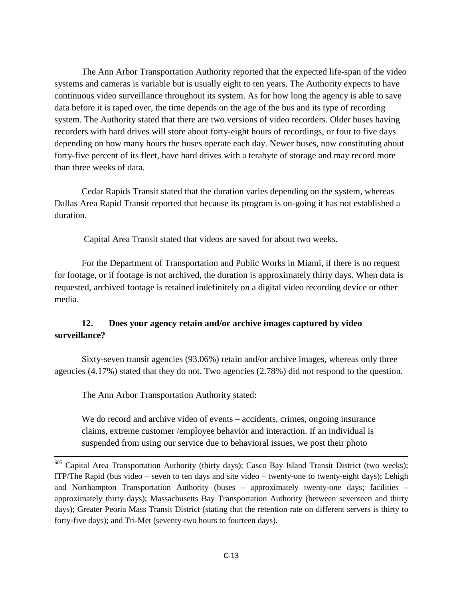The Ann Arbor Transportation Authority reported that the expected life-span of the video systems and cameras is variable but is usually eight to ten years. The Authority expects to have continuous video surveillance throughout its system. As for how long the agency is able to save data before it is taped over, the time depends on the age of the bus and its type of recording system. The Authority stated that there are two versions of video recorders. Older buses having recorders with hard drives will store about forty-eight hours of recordings, or four to five days depending on how many hours the buses operate each day. Newer buses, now constituting about forty-five percent of its fleet, have hard drives with a terabyte of storage and may record more than three weeks of data.

Cedar Rapids Transit stated that the duration varies depending on the system, whereas Dallas Area Rapid Transit reported that because its program is on-going it has not established a duration.

Capital Area Transit stated that videos are saved for about two weeks.

For the Department of Transportation and Public Works in Miami, if there is no request for footage, or if footage is not archived, the duration is approximately thirty days. When data is requested, archived footage is retained indefinitely on a digital video recording device or other media.

### **12. Does your agency retain and/or archive images captured by video surveillance?**

Sixty-seven transit agencies (93.06%) retain and/or archive images, whereas only three agencies (4.17%) stated that they do not. Two agencies (2.78%) did not respond to the question.

The Ann Arbor Transportation Authority stated:

 $\overline{\phantom{a}}$ 

We do record and archive video of events – accidents, crimes, ongoing insurance claims, extreme customer /employee behavior and interaction. If an individual is suspended from using our service due to behavioral issues, we post their photo

<sup>&</sup>lt;sup>605</sup> Capital Area Transportation Authority (thirty days); Casco Bay Island Transit District (two weeks); ITP/The Rapid (bus video – seven to ten days and site video – twenty-one to twenty-eight days); Lehigh and Northampton Transportation Authority (buses – approximately twenty-one days; facilities – approximately thirty days); Massachusetts Bay Transportation Authority (between seventeen and thirty days); Greater Peoria Mass Transit District (stating that the retention rate on different servers is thirty to forty-five days); and Tri-Met (seventy-two hours to fourteen days).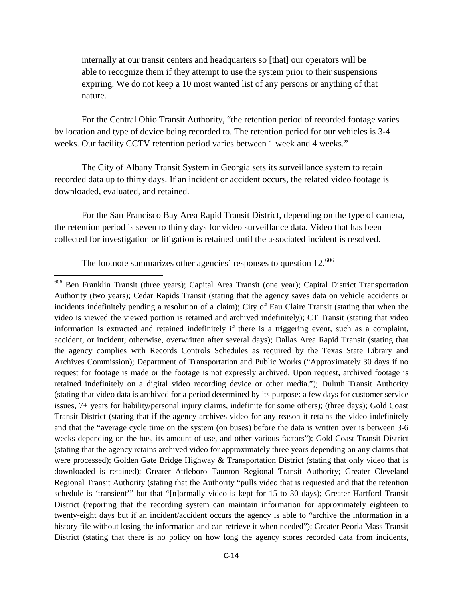internally at our transit centers and headquarters so [that] our operators will be able to recognize them if they attempt to use the system prior to their suspensions expiring. We do not keep a 10 most wanted list of any persons or anything of that nature.

 For the Central Ohio Transit Authority, "the retention period of recorded footage varies by location and type of device being recorded to. The retention period for our vehicles is 3-4 weeks. Our facility CCTV retention period varies between 1 week and 4 weeks."

The City of Albany Transit System in Georgia sets its surveillance system to retain recorded data up to thirty days. If an incident or accident occurs, the related video footage is downloaded, evaluated, and retained.

For the San Francisco Bay Area Rapid Transit District, depending on the type of camera, the retention period is seven to thirty days for video surveillance data. Video that has been collected for investigation or litigation is retained until the associated incident is resolved.

The footnote summarizes other agencies' responses to question  $12^{606}$  $12^{606}$  $12^{606}$ 

 $\overline{\phantom{a}}$ 

<span id="page-13-0"></span><sup>606</sup> Ben Franklin Transit (three years); Capital Area Transit (one year); Capital District Transportation Authority (two years); Cedar Rapids Transit (stating that the agency saves data on vehicle accidents or incidents indefinitely pending a resolution of a claim); City of Eau Claire Transit (stating that when the video is viewed the viewed portion is retained and archived indefinitely); CT Transit (stating that video information is extracted and retained indefinitely if there is a triggering event, such as a complaint, accident, or incident; otherwise, overwritten after several days); Dallas Area Rapid Transit (stating that the agency complies with Records Controls Schedules as required by the Texas State Library and Archives Commission); Department of Transportation and Public Works ("Approximately 30 days if no request for footage is made or the footage is not expressly archived. Upon request, archived footage is retained indefinitely on a digital video recording device or other media."); Duluth Transit Authority (stating that video data is archived for a period determined by its purpose: a few days for customer service issues, 7+ years for liability/personal injury claims, indefinite for some others); (three days); Gold Coast Transit District (stating that if the agency archives video for any reason it retains the video indefinitely and that the "average cycle time on the system (on buses) before the data is written over is between 3-6 weeks depending on the bus, its amount of use, and other various factors"); Gold Coast Transit District (stating that the agency retains archived video for approximately three years depending on any claims that were processed); Golden Gate Bridge Highway & Transportation District (stating that only video that is downloaded is retained); Greater Attleboro Taunton Regional Transit Authority; Greater Cleveland Regional Transit Authority (stating that the Authority "pulls video that is requested and that the retention schedule is 'transient'" but that "[n]ormally video is kept for 15 to 30 days); Greater Hartford Transit District (reporting that the recording system can maintain information for approximately eighteen to twenty-eight days but if an incident/accident occurs the agency is able to "archive the information in a history file without losing the information and can retrieve it when needed"); Greater Peoria Mass Transit District (stating that there is no policy on how long the agency stores recorded data from incidents,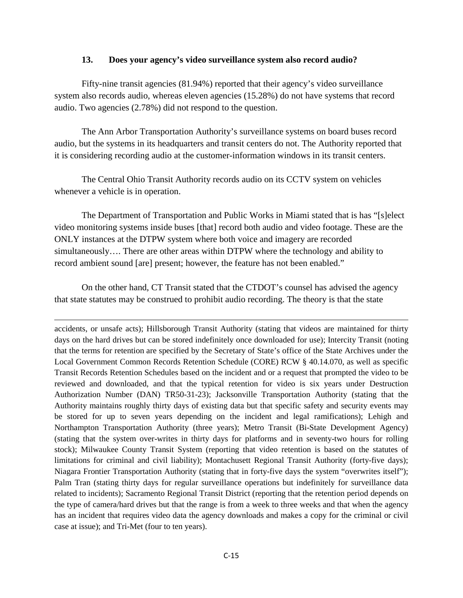#### **13. Does your agency's video surveillance system also record audio?**

Fifty-nine transit agencies (81.94%) reported that their agency's video surveillance system also records audio, whereas eleven agencies (15.28%) do not have systems that record audio. Two agencies (2.78%) did not respond to the question.

The Ann Arbor Transportation Authority's surveillance systems on board buses record audio, but the systems in its headquarters and transit centers do not. The Authority reported that it is considering recording audio at the customer-information windows in its transit centers.

The Central Ohio Transit Authority records audio on its CCTV system on vehicles whenever a vehicle is in operation.

The Department of Transportation and Public Works in Miami stated that is has "[s]elect video monitoring systems inside buses [that] record both audio and video footage. These are the ONLY instances at the DTPW system where both voice and imagery are recorded simultaneously…. There are other areas within DTPW where the technology and ability to record ambient sound [are] present; however, the feature has not been enabled."

On the other hand, CT Transit stated that the CTDOT's counsel has advised the agency that state statutes may be construed to prohibit audio recording. The theory is that the state

l

accidents, or unsafe acts); Hillsborough Transit Authority (stating that videos are maintained for thirty days on the hard drives but can be stored indefinitely once downloaded for use); Intercity Transit (noting that the terms for retention are specified by the Secretary of State's office of the State Archives under the Local Government Common Records Retention Schedule (CORE) RCW § 40.14.070, as well as specific Transit Records Retention Schedules based on the incident and or a request that prompted the video to be reviewed and downloaded, and that the typical retention for video is six years under Destruction Authorization Number (DAN) TR50-31-23); Jacksonville Transportation Authority (stating that the Authority maintains roughly thirty days of existing data but that specific safety and security events may be stored for up to seven years depending on the incident and legal ramifications); Lehigh and Northampton Transportation Authority (three years); Metro Transit (Bi-State Development Agency) (stating that the system over-writes in thirty days for platforms and in seventy-two hours for rolling stock); Milwaukee County Transit System (reporting that video retention is based on the statutes of limitations for criminal and civil liability); Montachusett Regional Transit Authority (forty-five days); Niagara Frontier Transportation Authority (stating that in forty-five days the system "overwrites itself"); Palm Tran (stating thirty days for regular surveillance operations but indefinitely for surveillance data related to incidents); Sacramento Regional Transit District (reporting that the retention period depends on the type of camera/hard drives but that the range is from a week to three weeks and that when the agency has an incident that requires video data the agency downloads and makes a copy for the criminal or civil case at issue); and Tri-Met (four to ten years).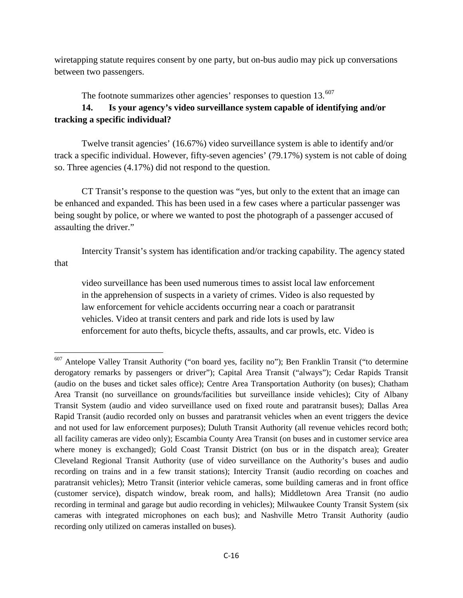wiretapping statute requires consent by one party, but on-bus audio may pick up conversations between two passengers.

The footnote summarizes other agencies' responses to question  $13.^{607}$  $13.^{607}$  $13.^{607}$ 

# **14. Is your agency's video surveillance system capable of identifying and/or tracking a specific individual?**

 Twelve transit agencies' (16.67%) video surveillance system is able to identify and/or track a specific individual. However, fifty-seven agencies' (79.17%) system is not cable of doing so. Three agencies (4.17%) did not respond to the question.

CT Transit's response to the question was "yes, but only to the extent that an image can be enhanced and expanded. This has been used in a few cases where a particular passenger was being sought by police, or where we wanted to post the photograph of a passenger accused of assaulting the driver."

Intercity Transit's system has identification and/or tracking capability. The agency stated that

video surveillance has been used numerous times to assist local law enforcement in the apprehension of suspects in a variety of crimes. Video is also requested by law enforcement for vehicle accidents occurring near a coach or paratransit vehicles. Video at transit centers and park and ride lots is used by law enforcement for auto thefts, bicycle thefts, assaults, and car prowls, etc. Video is

l

<span id="page-15-0"></span><sup>&</sup>lt;sup>607</sup> Antelope Valley Transit Authority ("on board yes, facility no"); Ben Franklin Transit ("to determine derogatory remarks by passengers or driver"); Capital Area Transit ("always"); Cedar Rapids Transit (audio on the buses and ticket sales office); Centre Area Transportation Authority (on buses); Chatham Area Transit (no surveillance on grounds/facilities but surveillance inside vehicles); City of Albany Transit System (audio and video surveillance used on fixed route and paratransit buses); Dallas Area Rapid Transit (audio recorded only on busses and paratransit vehicles when an event triggers the device and not used for law enforcement purposes); Duluth Transit Authority (all revenue vehicles record both; all facility cameras are video only); Escambia County Area Transit (on buses and in customer service area where money is exchanged); Gold Coast Transit District (on bus or in the dispatch area); Greater Cleveland Regional Transit Authority (use of video surveillance on the Authority's buses and audio recording on trains and in a few transit stations); Intercity Transit (audio recording on coaches and paratransit vehicles); Metro Transit (interior vehicle cameras, some building cameras and in front office (customer service), dispatch window, break room, and halls); Middletown Area Transit (no audio recording in terminal and garage but audio recording in vehicles); Milwaukee County Transit System (six cameras with integrated microphones on each bus); and Nashville Metro Transit Authority (audio recording only utilized on cameras installed on buses).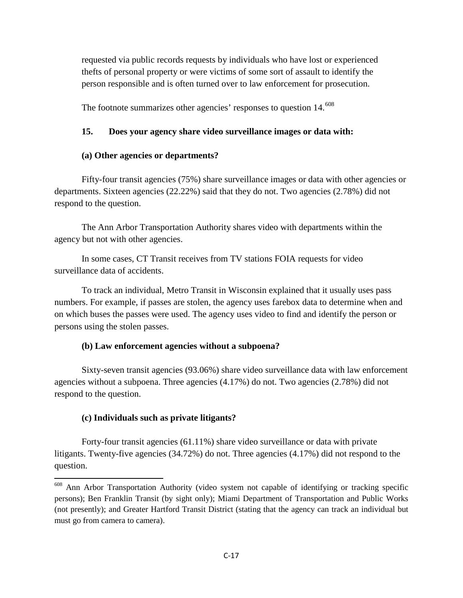requested via public records requests by individuals who have lost or experienced thefts of personal property or were victims of some sort of assault to identify the person responsible and is often turned over to law enforcement for prosecution.

The footnote summarizes other agencies' responses to question 14.<sup>[608](#page-16-0)</sup>

#### **15. Does your agency share video surveillance images or data with:**

#### **(a) Other agencies or departments?**

Fifty-four transit agencies (75%) share surveillance images or data with other agencies or departments. Sixteen agencies (22.22%) said that they do not. Two agencies (2.78%) did not respond to the question.

The Ann Arbor Transportation Authority shares video with departments within the agency but not with other agencies.

In some cases, CT Transit receives from TV stations FOIA requests for video surveillance data of accidents.

To track an individual, Metro Transit in Wisconsin explained that it usually uses pass numbers. For example, if passes are stolen, the agency uses farebox data to determine when and on which buses the passes were used. The agency uses video to find and identify the person or persons using the stolen passes.

#### **(b) Law enforcement agencies without a subpoena?**

Sixty-seven transit agencies (93.06%) share video surveillance data with law enforcement agencies without a subpoena. Three agencies (4.17%) do not. Two agencies (2.78%) did not respond to the question.

#### **(c) Individuals such as private litigants?**

l

Forty-four transit agencies (61.11%) share video surveillance or data with private litigants. Twenty-five agencies (34.72%) do not. Three agencies (4.17%) did not respond to the question.

<span id="page-16-0"></span><sup>&</sup>lt;sup>608</sup> Ann Arbor Transportation Authority (video system not capable of identifying or tracking specific persons); Ben Franklin Transit (by sight only); Miami Department of Transportation and Public Works (not presently); and Greater Hartford Transit District (stating that the agency can track an individual but must go from camera to camera).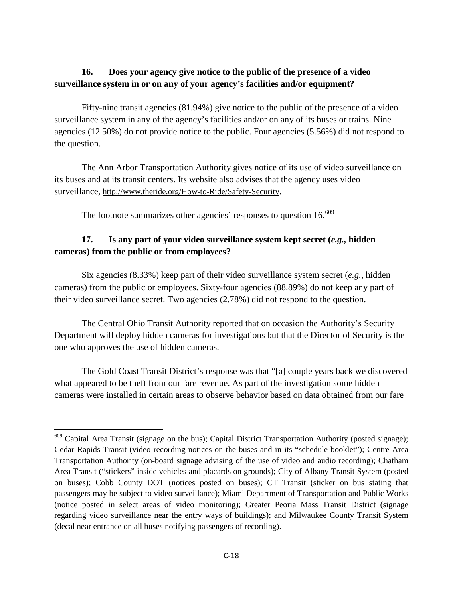# **16. Does your agency give notice to the public of the presence of a video surveillance system in or on any of your agency's facilities and/or equipment?**

Fifty-nine transit agencies (81.94%) give notice to the public of the presence of a video surveillance system in any of the agency's facilities and/or on any of its buses or trains. Nine agencies (12.50%) do not provide notice to the public. Four agencies (5.56%) did not respond to the question.

The Ann Arbor Transportation Authority gives notice of its use of video surveillance on its buses and at its transit centers. Its website also advises that the agency uses video surveillance, [http://www.theride.org/How-to-Ride/Safety-Security.](http://www.theride.org/How-to-Ride/Safety-Security)

The footnote summarizes other agencies' responses to question 16.<sup>[609](#page-17-0)</sup>

# **17. Is any part of your video surveillance system kept secret (***e.g.,* **hidden cameras) from the public or from employees?**

Six agencies (8.33%) keep part of their video surveillance system secret (*e.g.,* hidden cameras) from the public or employees. Sixty-four agencies (88.89%) do not keep any part of their video surveillance secret. Two agencies (2.78%) did not respond to the question.

 The Central Ohio Transit Authority reported that on occasion the Authority's Security Department will deploy hidden cameras for investigations but that the Director of Security is the one who approves the use of hidden cameras.

The Gold Coast Transit District's response was that "[a] couple years back we discovered what appeared to be theft from our fare revenue. As part of the investigation some hidden cameras were installed in certain areas to observe behavior based on data obtained from our fare

 $\overline{\phantom{a}}$ 

<span id="page-17-0"></span><sup>&</sup>lt;sup>609</sup> Capital Area Transit (signage on the bus); Capital District Transportation Authority (posted signage); Cedar Rapids Transit (video recording notices on the buses and in its "schedule booklet"); Centre Area Transportation Authority (on-board signage advising of the use of video and audio recording); Chatham Area Transit ("stickers" inside vehicles and placards on grounds); City of Albany Transit System (posted on buses); Cobb County DOT (notices posted on buses); CT Transit (sticker on bus stating that passengers may be subject to video surveillance); Miami Department of Transportation and Public Works (notice posted in select areas of video monitoring); Greater Peoria Mass Transit District (signage regarding video surveillance near the entry ways of buildings); and Milwaukee County Transit System (decal near entrance on all buses notifying passengers of recording).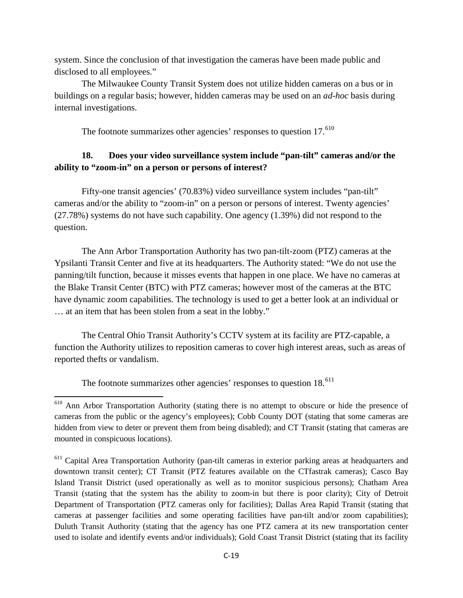system. Since the conclusion of that investigation the cameras have been made public and disclosed to all employees."

 The Milwaukee County Transit System does not utilize hidden cameras on a bus or in buildings on a regular basis; however, hidden cameras may be used on an *ad-hoc* basis during internal investigations.

The footnote summarizes other agencies' responses to question  $17.^{610}$  $17.^{610}$  $17.^{610}$ 

### **18. Does your video surveillance system include "pan-tilt" cameras and/or the ability to "zoom-in" on a person or persons of interest?**

Fifty-one transit agencies' (70.83%) video surveillance system includes "pan-tilt" cameras and/or the ability to "zoom-in" on a person or persons of interest. Twenty agencies' (27.78%) systems do not have such capability. One agency (1.39%) did not respond to the question.

 The Ann Arbor Transportation Authority has two pan-tilt-zoom (PTZ) cameras at the Ypsilanti Transit Center and five at its headquarters. The Authority stated: "We do not use the panning/tilt function, because it misses events that happen in one place. We have no cameras at the Blake Transit Center (BTC) with PTZ cameras; however most of the cameras at the BTC have dynamic zoom capabilities. The technology is used to get a better look at an individual or … at an item that has been stolen from a seat in the lobby."

 The Central Ohio Transit Authority's CCTV system at its facility are PTZ-capable, a function the Authority utilizes to reposition cameras to cover high interest areas, such as areas of reported thefts or vandalism.

The footnote summarizes other agencies' responses to question  $18.611$  $18.611$ 

 $\overline{\phantom{a}}$ 

<span id="page-18-0"></span><sup>&</sup>lt;sup>610</sup> Ann Arbor Transportation Authority (stating there is no attempt to obscure or hide the presence of cameras from the public or the agency's employees); Cobb County DOT (stating that some cameras are hidden from view to deter or prevent them from being disabled); and CT Transit (stating that cameras are mounted in conspicuous locations).

<span id="page-18-1"></span><sup>&</sup>lt;sup>611</sup> Capital Area Transportation Authority (pan-tilt cameras in exterior parking areas at headquarters and downtown transit center); CT Transit (PTZ features available on the CTfastrak cameras); Casco Bay Island Transit District (used operationally as well as to monitor suspicious persons); Chatham Area Transit (stating that the system has the ability to zoom-in but there is poor clarity); City of Detroit Department of Transportation (PTZ cameras only for facilities); Dallas Area Rapid Transit (stating that cameras at passenger facilities and some operating facilities have pan-tilt and/or zoom capabilities); Duluth Transit Authority (stating that the agency has one PTZ camera at its new transportation center used to isolate and identify events and/or individuals); Gold Coast Transit District (stating that its facility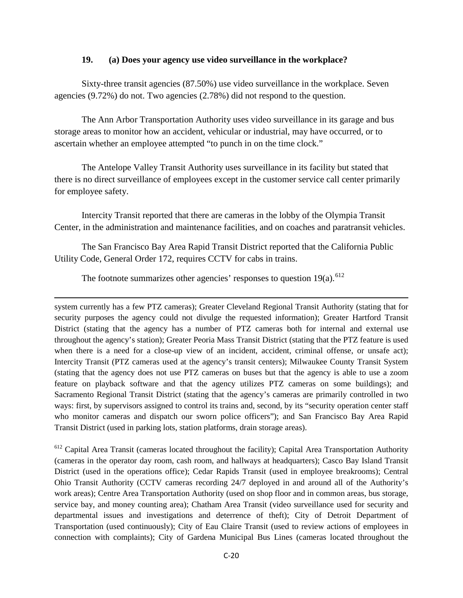#### **19. (a) Does your agency use video surveillance in the workplace?**

Sixty-three transit agencies (87.50%) use video surveillance in the workplace. Seven agencies (9.72%) do not. Two agencies (2.78%) did not respond to the question.

 The Ann Arbor Transportation Authority uses video surveillance in its garage and bus storage areas to monitor how an accident, vehicular or industrial, may have occurred, or to ascertain whether an employee attempted "to punch in on the time clock."

The Antelope Valley Transit Authority uses surveillance in its facility but stated that there is no direct surveillance of employees except in the customer service call center primarily for employee safety.

Intercity Transit reported that there are cameras in the lobby of the Olympia Transit Center, in the administration and maintenance facilities, and on coaches and paratransit vehicles.

The San Francisco Bay Area Rapid Transit District reported that the California Public Utility Code, General Order 172, requires CCTV for cabs in trains.

The footnote summarizes other agencies' responses to question  $19(a)$ .<sup>[612](#page-19-0)</sup>

l

system currently has a few PTZ cameras); Greater Cleveland Regional Transit Authority (stating that for security purposes the agency could not divulge the requested information); Greater Hartford Transit District (stating that the agency has a number of PTZ cameras both for internal and external use throughout the agency's station); Greater Peoria Mass Transit District (stating that the PTZ feature is used when there is a need for a close-up view of an incident, accident, criminal offense, or unsafe act); Intercity Transit (PTZ cameras used at the agency's transit centers); Milwaukee County Transit System (stating that the agency does not use PTZ cameras on buses but that the agency is able to use a zoom feature on playback software and that the agency utilizes PTZ cameras on some buildings); and Sacramento Regional Transit District (stating that the agency's cameras are primarily controlled in two ways: first, by supervisors assigned to control its trains and, second, by its "security operation center staff who monitor cameras and dispatch our sworn police officers"); and San Francisco Bay Area Rapid Transit District (used in parking lots, station platforms, drain storage areas).

<span id="page-19-0"></span><sup>612</sup> Capital Area Transit (cameras located throughout the facility); Capital Area Transportation Authority (cameras in the operator day room, cash room, and hallways at headquarters); Casco Bay Island Transit District (used in the operations office); Cedar Rapids Transit (used in employee breakrooms); Central Ohio Transit Authority (CCTV cameras recording 24/7 deployed in and around all of the Authority's work areas); Centre Area Transportation Authority (used on shop floor and in common areas, bus storage, service bay, and money counting area); Chatham Area Transit (video surveillance used for security and departmental issues and investigations and deterrence of theft); City of Detroit Department of Transportation (used continuously); City of Eau Claire Transit (used to review actions of employees in connection with complaints); City of Gardena Municipal Bus Lines (cameras located throughout the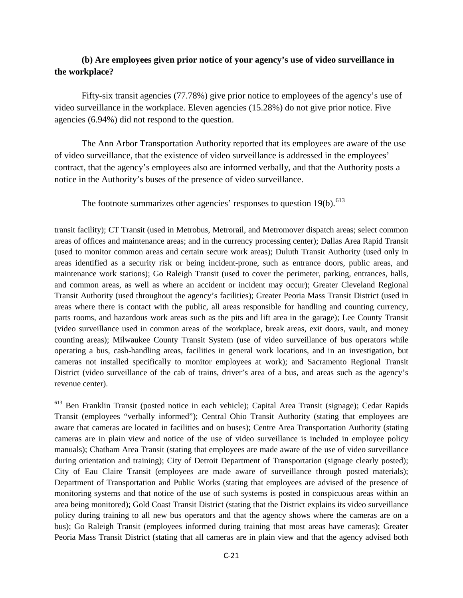### **(b) Are employees given prior notice of your agency's use of video surveillance in the workplace?**

Fifty-six transit agencies (77.78%) give prior notice to employees of the agency's use of video surveillance in the workplace. Eleven agencies (15.28%) do not give prior notice. Five agencies (6.94%) did not respond to the question.

The Ann Arbor Transportation Authority reported that its employees are aware of the use of video surveillance, that the existence of video surveillance is addressed in the employees' contract, that the agency's employees also are informed verbally, and that the Authority posts a notice in the Authority's buses of the presence of video surveillance.

The footnote summarizes other agencies' responses to question  $19(b)$ .<sup>[613](#page-20-0)</sup>

 $\overline{\phantom{a}}$ 

transit facility); CT Transit (used in Metrobus, Metrorail, and Metromover dispatch areas; select common areas of offices and maintenance areas; and in the currency processing center); Dallas Area Rapid Transit (used to monitor common areas and certain secure work areas); Duluth Transit Authority (used only in areas identified as a security risk or being incident-prone, such as entrance doors, public areas, and maintenance work stations); Go Raleigh Transit (used to cover the perimeter, parking, entrances, halls, and common areas, as well as where an accident or incident may occur); Greater Cleveland Regional Transit Authority (used throughout the agency's facilities); Greater Peoria Mass Transit District (used in areas where there is contact with the public, all areas responsible for handling and counting currency, parts rooms, and hazardous work areas such as the pits and lift area in the garage); Lee County Transit (video surveillance used in common areas of the workplace, break areas, exit doors, vault, and money counting areas); Milwaukee County Transit System (use of video surveillance of bus operators while operating a bus, cash-handling areas, facilities in general work locations, and in an investigation, but cameras not installed specifically to monitor employees at work); and Sacramento Regional Transit District (video surveillance of the cab of trains, driver's area of a bus, and areas such as the agency's revenue center).

<span id="page-20-0"></span><sup>613</sup> Ben Franklin Transit (posted notice in each vehicle); Capital Area Transit (signage); Cedar Rapids Transit (employees "verbally informed"); Central Ohio Transit Authority (stating that employees are aware that cameras are located in facilities and on buses); Centre Area Transportation Authority (stating cameras are in plain view and notice of the use of video surveillance is included in employee policy manuals); Chatham Area Transit (stating that employees are made aware of the use of video surveillance during orientation and training); City of Detroit Department of Transportation (signage clearly posted); City of Eau Claire Transit (employees are made aware of surveillance through posted materials); Department of Transportation and Public Works (stating that employees are advised of the presence of monitoring systems and that notice of the use of such systems is posted in conspicuous areas within an area being monitored); Gold Coast Transit District (stating that the District explains its video surveillance policy during training to all new bus operators and that the agency shows where the cameras are on a bus); Go Raleigh Transit (employees informed during training that most areas have cameras); Greater Peoria Mass Transit District (stating that all cameras are in plain view and that the agency advised both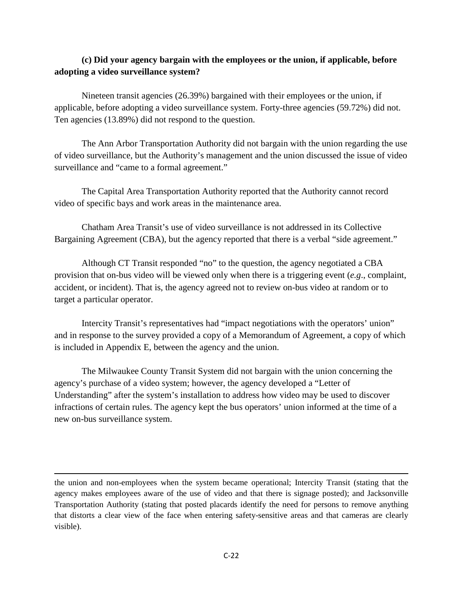# **(c) Did your agency bargain with the employees or the union, if applicable, before adopting a video surveillance system?**

Nineteen transit agencies (26.39%) bargained with their employees or the union, if applicable, before adopting a video surveillance system. Forty-three agencies (59.72%) did not. Ten agencies (13.89%) did not respond to the question.

The Ann Arbor Transportation Authority did not bargain with the union regarding the use of video surveillance, but the Authority's management and the union discussed the issue of video surveillance and "came to a formal agreement."

The Capital Area Transportation Authority reported that the Authority cannot record video of specific bays and work areas in the maintenance area.

Chatham Area Transit's use of video surveillance is not addressed in its Collective Bargaining Agreement (CBA), but the agency reported that there is a verbal "side agreement."

Although CT Transit responded "no" to the question, the agency negotiated a CBA provision that on-bus video will be viewed only when there is a triggering event (*e.g*., complaint, accident, or incident). That is, the agency agreed not to review on-bus video at random or to target a particular operator.

Intercity Transit's representatives had "impact negotiations with the operators' union" and in response to the survey provided a copy of a Memorandum of Agreement, a copy of which is included in Appendix E, between the agency and the union.

The Milwaukee County Transit System did not bargain with the union concerning the agency's purchase of a video system; however, the agency developed a "Letter of Understanding" after the system's installation to address how video may be used to discover infractions of certain rules. The agency kept the bus operators' union informed at the time of a new on-bus surveillance system.

the union and non-employees when the system became operational; Intercity Transit (stating that the agency makes employees aware of the use of video and that there is signage posted); and Jacksonville Transportation Authority (stating that posted placards identify the need for persons to remove anything that distorts a clear view of the face when entering safety-sensitive areas and that cameras are clearly visible).

l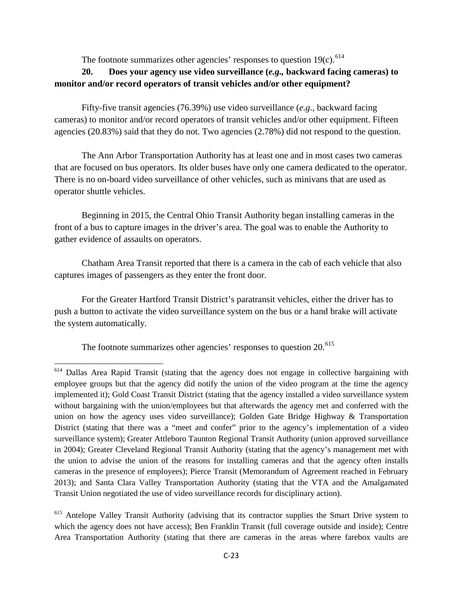The footnote summarizes other agencies' responses to question  $19(c)$ .<sup>[614](#page-22-0)</sup>

# **20. Does your agency use video surveillance (***e.g.,* **backward facing cameras) to monitor and/or record operators of transit vehicles and/or other equipment?**

Fifty-five transit agencies (76.39%) use video surveillance (*e.g.,* backward facing cameras) to monitor and/or record operators of transit vehicles and/or other equipment. Fifteen agencies (20.83%) said that they do not. Two agencies (2.78%) did not respond to the question.

The Ann Arbor Transportation Authority has at least one and in most cases two cameras that are focused on bus operators. Its older buses have only one camera dedicated to the operator. There is no on-board video surveillance of other vehicles, such as minivans that are used as operator shuttle vehicles.

Beginning in 2015, the Central Ohio Transit Authority began installing cameras in the front of a bus to capture images in the driver's area. The goal was to enable the Authority to gather evidence of assaults on operators.

Chatham Area Transit reported that there is a camera in the cab of each vehicle that also captures images of passengers as they enter the front door.

For the Greater Hartford Transit District's paratransit vehicles, either the driver has to push a button to activate the video surveillance system on the bus or a hand brake will activate the system automatically.

The footnote summarizes other agencies' responses to question  $20^{615}$  $20^{615}$  $20^{615}$ 

l

<span id="page-22-0"></span><sup>&</sup>lt;sup>614</sup> Dallas Area Rapid Transit (stating that the agency does not engage in collective bargaining with employee groups but that the agency did notify the union of the video program at the time the agency implemented it); Gold Coast Transit District (stating that the agency installed a video surveillance system without bargaining with the union/employees but that afterwards the agency met and conferred with the union on how the agency uses video surveillance); Golden Gate Bridge Highway & Transportation District (stating that there was a "meet and confer" prior to the agency's implementation of a video surveillance system); Greater Attleboro Taunton Regional Transit Authority (union approved surveillance in 2004); Greater Cleveland Regional Transit Authority (stating that the agency's management met with the union to advise the union of the reasons for installing cameras and that the agency often installs cameras in the presence of employees); Pierce Transit (Memorandum of Agreement reached in February 2013); and Santa Clara Valley Transportation Authority (stating that the VTA and the Amalgamated Transit Union negotiated the use of video surveillance records for disciplinary action).

<span id="page-22-1"></span><sup>&</sup>lt;sup>615</sup> Antelope Valley Transit Authority (advising that its contractor supplies the Smart Drive system to which the agency does not have access); Ben Franklin Transit (full coverage outside and inside); Centre Area Transportation Authority (stating that there are cameras in the areas where farebox vaults are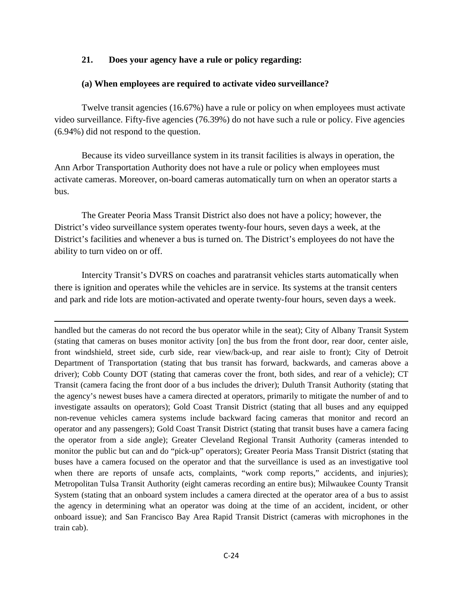### **21. Does your agency have a rule or policy regarding:**

### **(a) When employees are required to activate video surveillance?**

Twelve transit agencies (16.67%) have a rule or policy on when employees must activate video surveillance. Fifty-five agencies (76.39%) do not have such a rule or policy. Five agencies (6.94%) did not respond to the question.

Because its video surveillance system in its transit facilities is always in operation, the Ann Arbor Transportation Authority does not have a rule or policy when employees must activate cameras. Moreover, on-board cameras automatically turn on when an operator starts a bus.

The Greater Peoria Mass Transit District also does not have a policy; however, the District's video surveillance system operates twenty-four hours, seven days a week, at the District's facilities and whenever a bus is turned on. The District's employees do not have the ability to turn video on or off.

Intercity Transit's DVRS on coaches and paratransit vehicles starts automatically when there is ignition and operates while the vehicles are in service. Its systems at the transit centers and park and ride lots are motion-activated and operate twenty-four hours, seven days a week.

l

handled but the cameras do not record the bus operator while in the seat); City of Albany Transit System (stating that cameras on buses monitor activity [on] the bus from the front door, rear door, center aisle, front windshield, street side, curb side, rear view/back-up, and rear aisle to front); City of Detroit Department of Transportation (stating that bus transit has forward, backwards, and cameras above a driver); Cobb County DOT (stating that cameras cover the front, both sides, and rear of a vehicle); CT Transit (camera facing the front door of a bus includes the driver); Duluth Transit Authority (stating that the agency's newest buses have a camera directed at operators, primarily to mitigate the number of and to investigate assaults on operators); Gold Coast Transit District (stating that all buses and any equipped non-revenue vehicles camera systems include backward facing cameras that monitor and record an operator and any passengers); Gold Coast Transit District (stating that transit buses have a camera facing the operator from a side angle); Greater Cleveland Regional Transit Authority (cameras intended to monitor the public but can and do "pick-up" operators); Greater Peoria Mass Transit District (stating that buses have a camera focused on the operator and that the surveillance is used as an investigative tool when there are reports of unsafe acts, complaints, "work comp reports," accidents, and injuries); Metropolitan Tulsa Transit Authority (eight cameras recording an entire bus); Milwaukee County Transit System (stating that an onboard system includes a camera directed at the operator area of a bus to assist the agency in determining what an operator was doing at the time of an accident, incident, or other onboard issue); and San Francisco Bay Area Rapid Transit District (cameras with microphones in the train cab).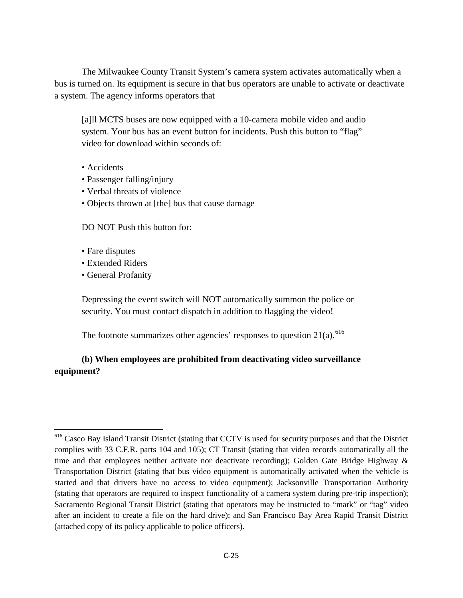The Milwaukee County Transit System's camera system activates automatically when a bus is turned on. Its equipment is secure in that bus operators are unable to activate or deactivate a system. The agency informs operators that

[a]ll MCTS buses are now equipped with a 10-camera mobile video and audio system. Your bus has an event button for incidents. Push this button to "flag" video for download within seconds of:

- Accidents
- Passenger falling/injury
- Verbal threats of violence
- Objects thrown at [the] bus that cause damage

DO NOT Push this button for:

- Fare disputes
- Extended Riders
- General Profanity

Depressing the event switch will NOT automatically summon the police or security. You must contact dispatch in addition to flagging the video!

The footnote summarizes other agencies' responses to question  $21(a)$ . <sup>[616](#page-24-0)</sup>

# **(b) When employees are prohibited from deactivating video surveillance equipment?**

<span id="page-24-0"></span> $\overline{\phantom{a}}$ <sup>616</sup> Casco Bay Island Transit District (stating that CCTV is used for security purposes and that the District complies with 33 C.F.R. parts 104 and 105); CT Transit (stating that video records automatically all the time and that employees neither activate nor deactivate recording); Golden Gate Bridge Highway & Transportation District (stating that bus video equipment is automatically activated when the vehicle is started and that drivers have no access to video equipment); Jacksonville Transportation Authority (stating that operators are required to inspect functionality of a camera system during pre-trip inspection); Sacramento Regional Transit District (stating that operators may be instructed to "mark" or "tag" video after an incident to create a file on the hard drive); and San Francisco Bay Area Rapid Transit District (attached copy of its policy applicable to police officers).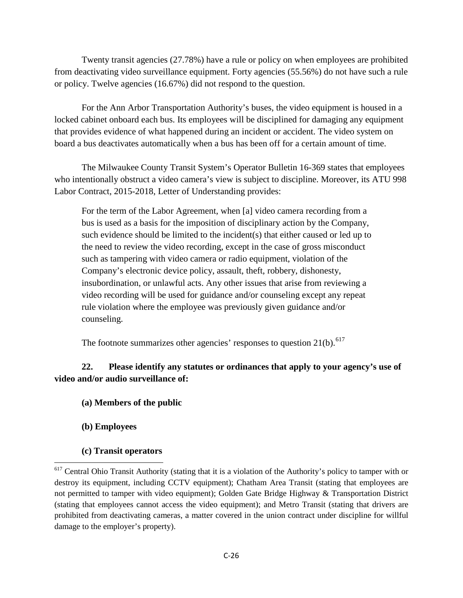Twenty transit agencies (27.78%) have a rule or policy on when employees are prohibited from deactivating video surveillance equipment. Forty agencies (55.56%) do not have such a rule or policy. Twelve agencies (16.67%) did not respond to the question.

For the Ann Arbor Transportation Authority's buses, the video equipment is housed in a locked cabinet onboard each bus. Its employees will be disciplined for damaging any equipment that provides evidence of what happened during an incident or accident. The video system on board a bus deactivates automatically when a bus has been off for a certain amount of time.

The Milwaukee County Transit System's Operator Bulletin 16-369 states that employees who intentionally obstruct a video camera's view is subject to discipline. Moreover, its ATU 998 Labor Contract, 2015-2018, Letter of Understanding provides:

For the term of the Labor Agreement, when [a] video camera recording from a bus is used as a basis for the imposition of disciplinary action by the Company, such evidence should be limited to the incident(s) that either caused or led up to the need to review the video recording, except in the case of gross misconduct such as tampering with video camera or radio equipment, violation of the Company's electronic device policy, assault, theft, robbery, dishonesty, insubordination, or unlawful acts. Any other issues that arise from reviewing a video recording will be used for guidance and/or counseling except any repeat rule violation where the employee was previously given guidance and/or counseling.

The footnote summarizes other agencies' responses to question  $21(b)$ .<sup>[617](#page-25-0)</sup>

# **22. Please identify any statutes or ordinances that apply to your agency's use of video and/or audio surveillance of:**

- **(a) Members of the public**
- **(b) Employees**

l

**(c) Transit operators**

<span id="page-25-0"></span><sup>&</sup>lt;sup>617</sup> Central Ohio Transit Authority (stating that it is a violation of the Authority's policy to tamper with or destroy its equipment, including CCTV equipment); Chatham Area Transit (stating that employees are not permitted to tamper with video equipment); Golden Gate Bridge Highway & Transportation District (stating that employees cannot access the video equipment); and Metro Transit (stating that drivers are prohibited from deactivating cameras, a matter covered in the union contract under discipline for willful damage to the employer's property).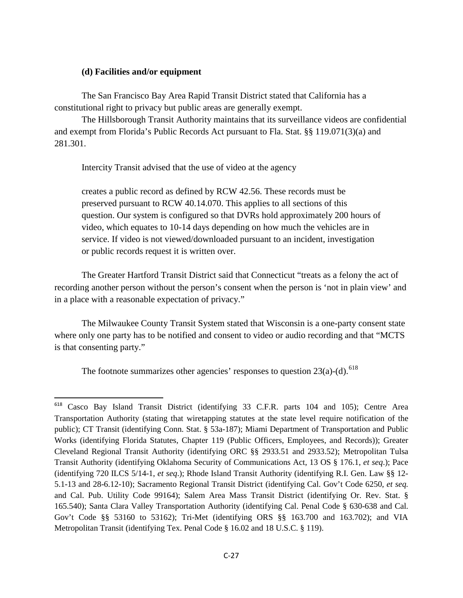#### **(d) Facilities and/or equipment**

The San Francisco Bay Area Rapid Transit District stated that California has a constitutional right to privacy but public areas are generally exempt.

The Hillsborough Transit Authority maintains that its surveillance videos are confidential and exempt from Florida's Public Records Act pursuant to Fla. Stat. §§ 119.071(3)(a) and 281.301.

Intercity Transit advised that the use of video at the agency

creates a public record as defined by RCW 42.56. These records must be preserved pursuant to RCW 40.14.070. This applies to all sections of this question. Our system is configured so that DVRs hold approximately 200 hours of video, which equates to 10-14 days depending on how much the vehicles are in service. If video is not viewed/downloaded pursuant to an incident, investigation or public records request it is written over.

The Greater Hartford Transit District said that Connecticut "treats as a felony the act of recording another person without the person's consent when the person is 'not in plain view' and in a place with a reasonable expectation of privacy."

The Milwaukee County Transit System stated that Wisconsin is a one-party consent state where only one party has to be notified and consent to video or audio recording and that "MCTS is that consenting party."

The footnote summarizes other agencies' responses to question  $23(a)-(d)$ . <sup>[618](#page-26-0)</sup>

<span id="page-26-0"></span><sup>618</sup> <sup>618</sup> Casco Bay Island Transit District (identifying 33 C.F.R. parts 104 and 105); Centre Area Transportation Authority (stating that wiretapping statutes at the state level require notification of the public); CT Transit (identifying Conn. Stat. § 53a-187); Miami Department of Transportation and Public Works (identifying Florida Statutes, Chapter 119 (Public Officers, Employees, and Records)); Greater Cleveland Regional Transit Authority (identifying ORC §§ 2933.51 and 2933.52); Metropolitan Tulsa Transit Authority (identifying Oklahoma Security of Communications Act, 13 OS § 176.1, *et seq*.); Pace (identifying 720 ILCS 5/14-1, *et seq*.); Rhode Island Transit Authority (identifying R.I. Gen. Law §§ 12- 5.1-13 and 28-6.12-10); Sacramento Regional Transit District (identifying Cal. Gov't Code 6250, *et seq.* and Cal. Pub. Utility Code 99164); Salem Area Mass Transit District (identifying Or. Rev. Stat. § 165.540); Santa Clara Valley Transportation Authority (identifying Cal. Penal Code § 630-638 and Cal. Gov't Code §§ 53160 to 53162); Tri-Met (identifying ORS §§ 163.700 and 163.702); and VIA Metropolitan Transit (identifying Tex. Penal Code § 16.02 and 18 U.S.C. § 119).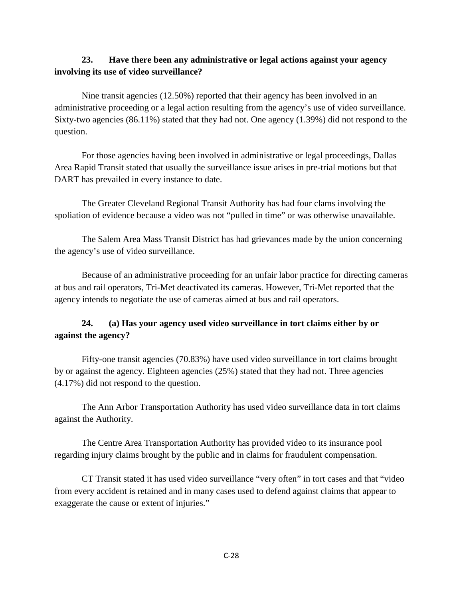# **23. Have there been any administrative or legal actions against your agency involving its use of video surveillance?**

 Nine transit agencies (12.50%) reported that their agency has been involved in an administrative proceeding or a legal action resulting from the agency's use of video surveillance. Sixty-two agencies (86.11%) stated that they had not. One agency (1.39%) did not respond to the question.

For those agencies having been involved in administrative or legal proceedings, Dallas Area Rapid Transit stated that usually the surveillance issue arises in pre-trial motions but that DART has prevailed in every instance to date.

The Greater Cleveland Regional Transit Authority has had four clams involving the spoliation of evidence because a video was not "pulled in time" or was otherwise unavailable.

The Salem Area Mass Transit District has had grievances made by the union concerning the agency's use of video surveillance.

Because of an administrative proceeding for an unfair labor practice for directing cameras at bus and rail operators, Tri-Met deactivated its cameras. However, Tri-Met reported that the agency intends to negotiate the use of cameras aimed at bus and rail operators.

# **24. (a) Has your agency used video surveillance in tort claims either by or against the agency?**

Fifty-one transit agencies (70.83%) have used video surveillance in tort claims brought by or against the agency. Eighteen agencies (25%) stated that they had not. Three agencies (4.17%) did not respond to the question.

 The Ann Arbor Transportation Authority has used video surveillance data in tort claims against the Authority.

The Centre Area Transportation Authority has provided video to its insurance pool regarding injury claims brought by the public and in claims for fraudulent compensation.

CT Transit stated it has used video surveillance "very often" in tort cases and that "video from every accident is retained and in many cases used to defend against claims that appear to exaggerate the cause or extent of injuries."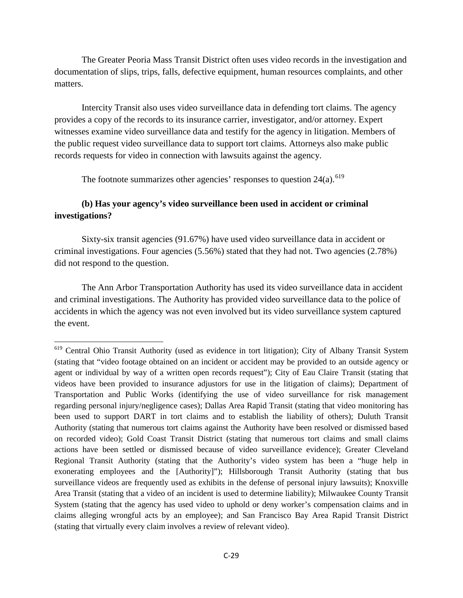The Greater Peoria Mass Transit District often uses video records in the investigation and documentation of slips, trips, falls, defective equipment, human resources complaints, and other matters.

 Intercity Transit also uses video surveillance data in defending tort claims. The agency provides a copy of the records to its insurance carrier, investigator, and/or attorney. Expert witnesses examine video surveillance data and testify for the agency in litigation. Members of the public request video surveillance data to support tort claims. Attorneys also make public records requests for video in connection with lawsuits against the agency.

The footnote summarizes other agencies' responses to question  $24(a)$ .<sup>[619](#page-28-0)</sup>

# **(b) Has your agency's video surveillance been used in accident or criminal investigations?**

Sixty-six transit agencies (91.67%) have used video surveillance data in accident or criminal investigations. Four agencies (5.56%) stated that they had not. Two agencies (2.78%) did not respond to the question.

The Ann Arbor Transportation Authority has used its video surveillance data in accident and criminal investigations. The Authority has provided video surveillance data to the police of accidents in which the agency was not even involved but its video surveillance system captured the event.

 $\overline{\phantom{a}}$ 

<span id="page-28-0"></span><sup>&</sup>lt;sup>619</sup> Central Ohio Transit Authority (used as evidence in tort litigation); City of Albany Transit System (stating that "video footage obtained on an incident or accident may be provided to an outside agency or agent or individual by way of a written open records request"); City of Eau Claire Transit (stating that videos have been provided to insurance adjustors for use in the litigation of claims); Department of Transportation and Public Works (identifying the use of video surveillance for risk management regarding personal injury/negligence cases); Dallas Area Rapid Transit (stating that video monitoring has been used to support DART in tort claims and to establish the liability of others); Duluth Transit Authority (stating that numerous tort claims against the Authority have been resolved or dismissed based on recorded video); Gold Coast Transit District (stating that numerous tort claims and small claims actions have been settled or dismissed because of video surveillance evidence); Greater Cleveland Regional Transit Authority (stating that the Authority's video system has been a "huge help in exonerating employees and the [Authority]"); Hillsborough Transit Authority (stating that bus surveillance videos are frequently used as exhibits in the defense of personal injury lawsuits); Knoxville Area Transit (stating that a video of an incident is used to determine liability); Milwaukee County Transit System (stating that the agency has used video to uphold or deny worker's compensation claims and in claims alleging wrongful acts by an employee); and San Francisco Bay Area Rapid Transit District (stating that virtually every claim involves a review of relevant video).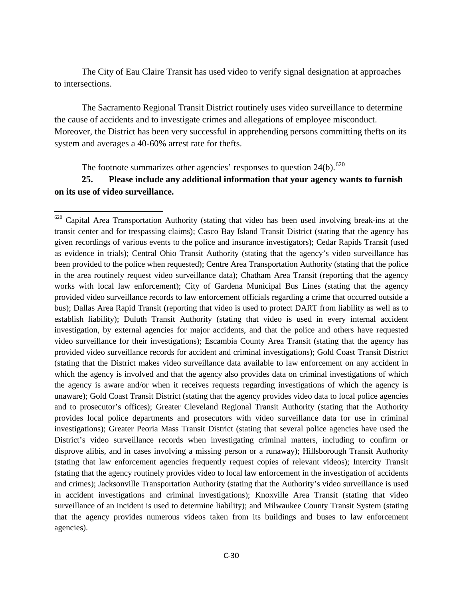The City of Eau Claire Transit has used video to verify signal designation at approaches to intersections.

The Sacramento Regional Transit District routinely uses video surveillance to determine the cause of accidents and to investigate crimes and allegations of employee misconduct. Moreover, the District has been very successful in apprehending persons committing thefts on its system and averages a 40-60% arrest rate for thefts.

The footnote summarizes other agencies' responses to question  $24(b)$ .<sup>[620](#page-29-0)</sup>

l

# **25. Please include any additional information that your agency wants to furnish on its use of video surveillance.**

<span id="page-29-0"></span> $620$  Capital Area Transportation Authority (stating that video has been used involving break-ins at the transit center and for trespassing claims); Casco Bay Island Transit District (stating that the agency has given recordings of various events to the police and insurance investigators); Cedar Rapids Transit (used as evidence in trials); Central Ohio Transit Authority (stating that the agency's video surveillance has been provided to the police when requested); Centre Area Transportation Authority (stating that the police in the area routinely request video surveillance data); Chatham Area Transit (reporting that the agency works with local law enforcement); City of Gardena Municipal Bus Lines (stating that the agency provided video surveillance records to law enforcement officials regarding a crime that occurred outside a bus); Dallas Area Rapid Transit (reporting that video is used to protect DART from liability as well as to establish liability); Duluth Transit Authority (stating that video is used in every internal accident investigation, by external agencies for major accidents, and that the police and others have requested video surveillance for their investigations); Escambia County Area Transit (stating that the agency has provided video surveillance records for accident and criminal investigations); Gold Coast Transit District (stating that the District makes video surveillance data available to law enforcement on any accident in which the agency is involved and that the agency also provides data on criminal investigations of which the agency is aware and/or when it receives requests regarding investigations of which the agency is unaware); Gold Coast Transit District (stating that the agency provides video data to local police agencies and to prosecutor's offices); Greater Cleveland Regional Transit Authority (stating that the Authority provides local police departments and prosecutors with video surveillance data for use in criminal investigations); Greater Peoria Mass Transit District (stating that several police agencies have used the District's video surveillance records when investigating criminal matters, including to confirm or disprove alibis, and in cases involving a missing person or a runaway); Hillsborough Transit Authority (stating that law enforcement agencies frequently request copies of relevant videos); Intercity Transit (stating that the agency routinely provides video to local law enforcement in the investigation of accidents and crimes); Jacksonville Transportation Authority (stating that the Authority's video surveillance is used in accident investigations and criminal investigations); Knoxville Area Transit (stating that video surveillance of an incident is used to determine liability); and Milwaukee County Transit System (stating that the agency provides numerous videos taken from its buildings and buses to law enforcement agencies).